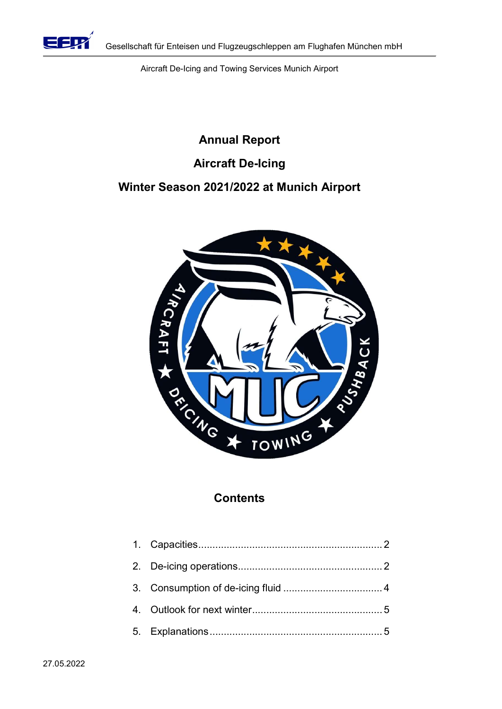

Aircraft De-Icing and Towing Services Munich Airport

# Annual Report Aircraft De-Icing Winter Season 2021/2022 at Munich Airport



# **Contents**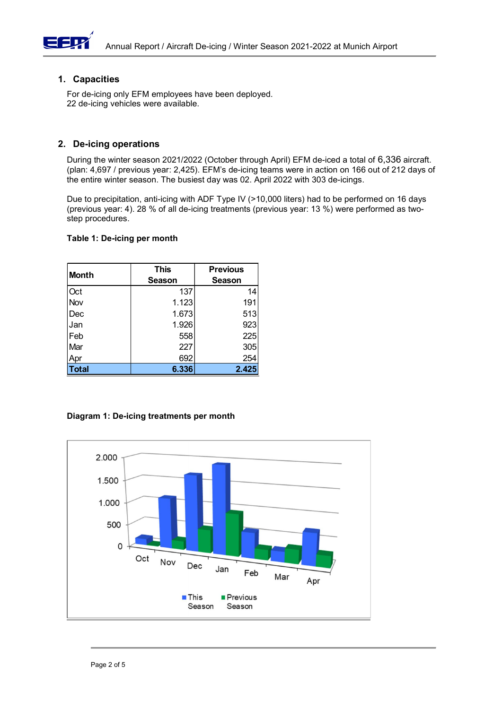

# 1. Capacities

#### 2. De-icing operations

#### Table 1: De-icing per month

|                                                       | For de-icing only EFM employees have been deployed.<br>22 de-icing vehicles were available. |                 |                                                                                                                                                                                                                                                                                              |
|-------------------------------------------------------|---------------------------------------------------------------------------------------------|-----------------|----------------------------------------------------------------------------------------------------------------------------------------------------------------------------------------------------------------------------------------------------------------------------------------------|
|                                                       |                                                                                             |                 |                                                                                                                                                                                                                                                                                              |
| <b>De-icing operations</b>                            |                                                                                             |                 |                                                                                                                                                                                                                                                                                              |
|                                                       |                                                                                             |                 | During the winter season 2021/2022 (October through April) EFM de-iced a total of 6,336 aircraft.<br>(plan: 4,697 / previous year: 2,425). EFM's de-icing teams were in action on 166 out of 212 days of<br>the entire winter season. The busiest day was 02. April 2022 with 303 de-icings. |
|                                                       |                                                                                             |                 | Due to precipitation, anti-icing with ADF Type IV (>10,000 liters) had to be performed on 16 days<br>(previous year: 4). 28 % of all de-icing treatments (previous year: 13 %) were performed as two-                                                                                        |
|                                                       |                                                                                             |                 |                                                                                                                                                                                                                                                                                              |
|                                                       | Table 1: De-icing per month                                                                 |                 |                                                                                                                                                                                                                                                                                              |
|                                                       |                                                                                             |                 |                                                                                                                                                                                                                                                                                              |
|                                                       | <b>This</b>                                                                                 | <b>Previous</b> |                                                                                                                                                                                                                                                                                              |
|                                                       | <b>Season</b>                                                                               | <b>Season</b>   |                                                                                                                                                                                                                                                                                              |
| Oct                                                   | 137                                                                                         | 14              |                                                                                                                                                                                                                                                                                              |
|                                                       | 1.123                                                                                       | 191             |                                                                                                                                                                                                                                                                                              |
|                                                       | 1.673                                                                                       | 513             |                                                                                                                                                                                                                                                                                              |
| step procedures.<br><b>Month</b><br>Nov<br>Dec<br>Jan | 1.926                                                                                       | 923             |                                                                                                                                                                                                                                                                                              |
| Feb                                                   | 558                                                                                         | 225             |                                                                                                                                                                                                                                                                                              |
| Mar<br>Apr                                            | 227<br>692                                                                                  | 305<br>254      |                                                                                                                                                                                                                                                                                              |

#### Diagram 1: De-icing treatments per month

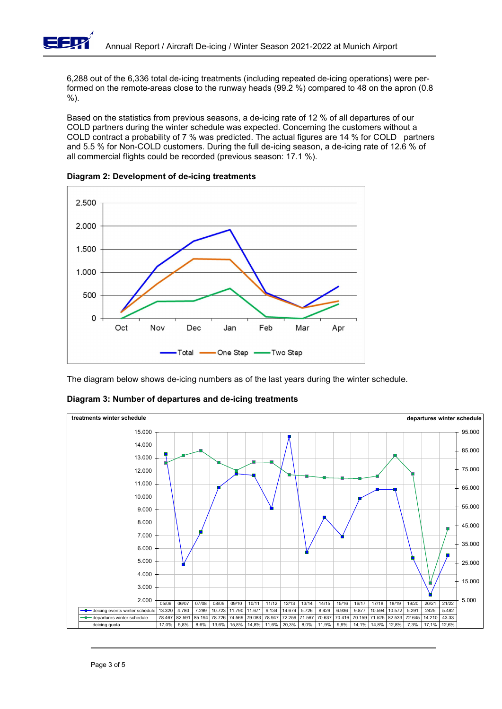

6,288 out of the 6,336 total de-icing treatments (including repeated de-icing operations) were performed on the remote-areas close to the runway heads (99.2 %) compared to 48 on the apron (0.8 %).

Based on the statistics from previous seasons, a de-icing rate of 12 % of all departures of our COLD partners during the winter schedule was expected. Concerning the customers without a COLD contract a probability of 7 % was predicted. The actual figures are 14 % for COLD partners and 5.5 % for Non-COLD customers. During the full de-icing season, a de-icing rate of 12.6 % of all commercial flights could be recorded (previous season: 17.1 %).





The diagram below shows de-icing numbers as of the last years during the winter schedule.



Diagram 3: Number of departures and de-icing treatments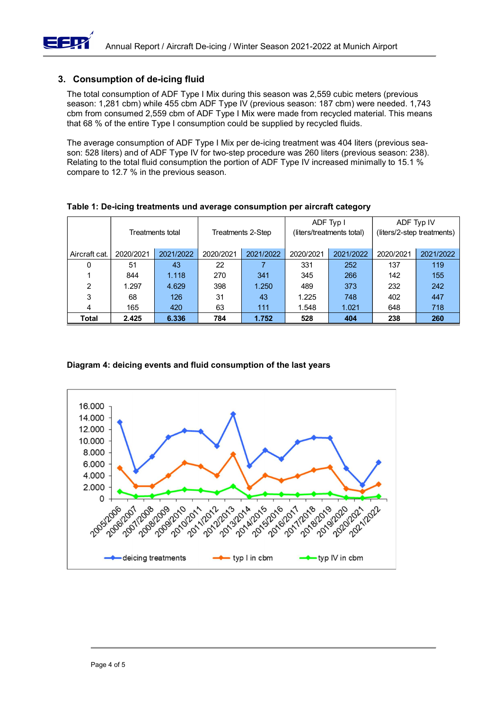

## 3. Consumption of de-icing fluid

Table 1: De-icing treatments und average consumption per aircraft category

|                                                                                                                                                                                                                                                                                                                                                                             | Annual Report / Aircraft De-icing / Winter Season 2021-2022 at Munich Airport |                  |                                                             |                |                                          |           |           |           |  |
|-----------------------------------------------------------------------------------------------------------------------------------------------------------------------------------------------------------------------------------------------------------------------------------------------------------------------------------------------------------------------------|-------------------------------------------------------------------------------|------------------|-------------------------------------------------------------|----------------|------------------------------------------|-----------|-----------|-----------|--|
|                                                                                                                                                                                                                                                                                                                                                                             | <b>Consumption of de-icing fluid</b>                                          |                  |                                                             |                |                                          |           |           |           |  |
| The total consumption of ADF Type I Mix during this season was 2,559 cubic meters (previous<br>season: 1,281 cbm) while 455 cbm ADF Type IV (previous season: 187 cbm) were needed. 1,743<br>cbm from consumed 2,559 cbm of ADF Type I Mix were made from recycled material. This means<br>that 68 % of the entire Type I consumption could be supplied by recycled fluids. |                                                                               |                  |                                                             |                |                                          |           |           |           |  |
| The average consumption of ADF Type I Mix per de-icing treatment was 404 liters (previous sea-<br>son: 528 liters) and of ADF Type IV for two-step procedure was 260 liters (previous season: 238).<br>Relating to the total fluid consumption the portion of ADF Type IV increased minimally to 15.1 %<br>compare to 12.7 % in the previous season.                        |                                                                               |                  |                                                             |                |                                          |           |           |           |  |
| Table 1: De-icing treatments und average consumption per aircraft category                                                                                                                                                                                                                                                                                                  |                                                                               |                  |                                                             |                |                                          |           |           |           |  |
|                                                                                                                                                                                                                                                                                                                                                                             |                                                                               | Treatments total | ADF Typ I<br>Treatments 2-Step<br>(liters/treatments total) |                | ADF Typ IV<br>(liters/2-step treatments) |           |           |           |  |
| Aircraft cat.                                                                                                                                                                                                                                                                                                                                                               | 2020/2021                                                                     | 2021/2022        | 2020/2021                                                   | 2021/2022      | 2020/2021                                | 2021/2022 | 2020/2021 | 2021/2022 |  |
| 0                                                                                                                                                                                                                                                                                                                                                                           | 51                                                                            | 43               | 22                                                          | $\overline{7}$ | 331                                      | 252       | 137       | 119       |  |
|                                                                                                                                                                                                                                                                                                                                                                             | 844                                                                           | 1.118            | 270                                                         | 341            | 345                                      | 266       | 142       | 155       |  |
| 2                                                                                                                                                                                                                                                                                                                                                                           | 1.297                                                                         | 4.629            | 398                                                         | 1.250          | 489                                      | 373       | 232       | 242       |  |
| 3                                                                                                                                                                                                                                                                                                                                                                           | 68                                                                            | 126              | 31                                                          | 43             | 1.225                                    | 748       | 402       | 447       |  |
| $\boldsymbol{\Lambda}$                                                                                                                                                                                                                                                                                                                                                      | 165                                                                           | 420              | 63                                                          | 111            | 1.548                                    | 1.021     | 648       | 718       |  |
| <b>Total</b>                                                                                                                                                                                                                                                                                                                                                                | 2.425                                                                         | 6.336            | 784                                                         | 1.752          | 528                                      | 404       | 238       | 260       |  |
| Diagram 4: deicing events and fluid consumption of the last years                                                                                                                                                                                                                                                                                                           |                                                                               |                  |                                                             |                |                                          |           |           |           |  |

## Diagram 4: deicing events and fluid consumption of the last years